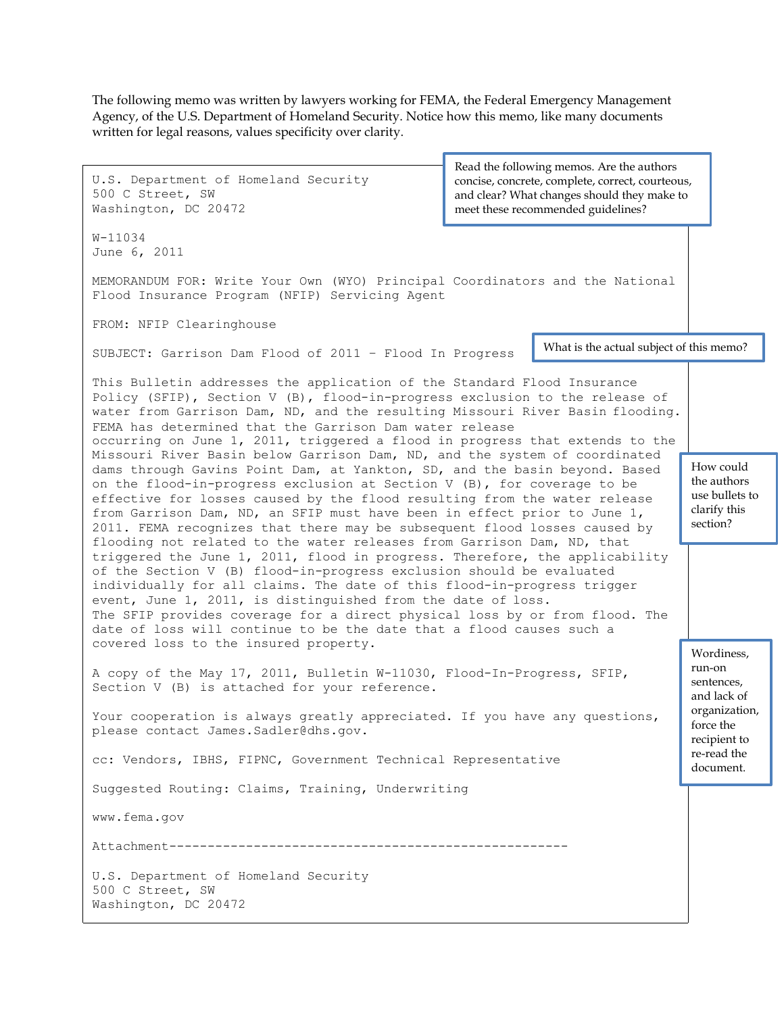The following memo was written by lawyers working for FEMA, the Federal Emergency Management Agency, of the U.S. Department of Homeland Security. Notice how this memo, like many documents written for legal reasons, values specificity over clarity.

U.S. Department of Homeland Security 500 C Street, SW Washington, DC 20472 W-11034 June 6, 2011 MEMORANDUM FOR: Write Your Own (WYO) Principal Coordinators and the National Flood Insurance Program (NFIP) Servicing Agent FROM: NFIP Clearinghouse SUBJECT: Garrison Dam Flood of 2011 – Flood In Progress This Bulletin addresses the application of the Standard Flood Insurance Policy (SFIP), Section V (B), flood-in-progress exclusion to the release of water from Garrison Dam, ND, and the resulting Missouri River Basin flooding. FEMA has determined that the Garrison Dam water release occurring on June 1, 2011, triggered a flood in progress that extends to the Missouri River Basin below Garrison Dam, ND, and the system of coordinated dams through Gavins Point Dam, at Yankton, SD, and the basin beyond. Based on the flood-in-progress exclusion at Section V (B), for coverage to be effective for losses caused by the flood resulting from the water release from Garrison Dam, ND, an SFIP must have been in effect prior to June 1, 2011. FEMA recognizes that there may be subsequent flood losses caused by flooding not related to the water releases from Garrison Dam, ND, that triggered the June 1, 2011, flood in progress. Therefore, the applicability of the Section V (B) flood-in-progress exclusion should be evaluated individually for all claims. The date of this flood-in-progress trigger event, June 1, 2011, is distinguished from the date of loss. The SFIP provides coverage for a direct physical loss by or from flood. The date of loss will continue to be the date that a flood causes such a covered loss to the insured property. A copy of the May 17, 2011, Bulletin W-11030, Flood-In-Progress, SFIP, Section V (B) is attached for your reference. Your cooperation is always greatly appreciated. If you have any questions, please contact [James.Sadler@dhs.gov.](mailto:James.Sadler@dhs.gov) cc: Vendors, IBHS, FIPNC, Government Technical Representative Suggested Routing: Claims, Training, Underwriting [www.fema.gov](http://www.fema.gov/) Attachment---------------------------------------------------- U.S. Department of Homeland Security 500 C Street, SW Washington, DC 20472 What is the actual subject of this memo? How could the authors use bullets to clarify this section? Wordiness, run-on sentences, and lack of organization, force the recipient to re-read the document. Read the following memos. Are the authors concise, concrete, complete, correct, courteous, and clear? What changes should they make to meet these recommended guidelines?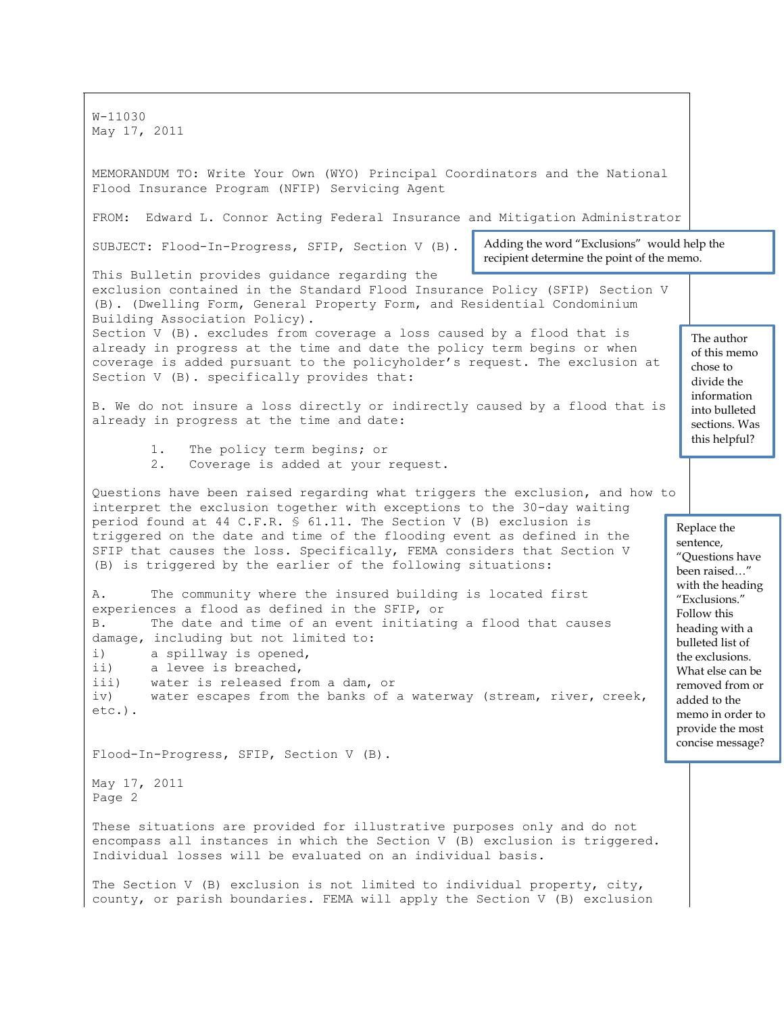W-11030 May 17, 2011 MEMORANDUM TO: Write Your Own (WYO) Principal Coordinators and the National Flood Insurance Program (NFIP) Servicing Agent FROM: Edward L. Connor Acting Federal Insurance and Mitigation Administrator SUBJECT: Flood-In-Progress, SFIP, Section V (B). This Bulletin provides guidance regarding the exclusion contained in the Standard Flood Insurance Policy (SFIP) Section V (B). (Dwelling Form, General Property Form, and Residential Condominium Building Association Policy). Section V (B). excludes from coverage a loss caused by a flood that is already in progress at the time and date the policy term begins or when coverage is added pursuant to the policyholder's request. The exclusion at Section V (B). specifically provides that: B. We do not insure a loss directly or indirectly caused by a flood that is already in progress at the time and date: 1. The policy term begins; or 2. Coverage is added at your request. Questions have been raised regarding what triggers the exclusion, and how to interpret the exclusion together with exceptions to the 30-day waiting period found at 44 C.F.R. § 61.11. The Section V (B) exclusion is triggered on the date and time of the flooding event as defined in the SFIP that causes the loss. Specifically, FEMA considers that Section V (B) is triggered by the earlier of the following situations: A. The community where the insured building is located first experiences a flood as defined in the SFIP, or B. The date and time of an event initiating a flood that causes damage, including but not limited to: i) a spillway is opened, ii) a levee is breached, iii) water is released from a dam, or iv) water escapes from the banks of a waterway (stream, river, creek, etc.). Flood-In-Progress, SFIP, Section V (B). May 17, 2011 Page 2 These situations are provided for illustrative purposes only and do not encompass all instances in which the Section V (B) exclusion is triggered. Individual losses will be evaluated on an individual basis. The Section V (B) exclusion is not limited to individual property, city, county, or parish boundaries. FEMA will apply the Section V (B) exclusion The author of this memo chose to divide the information into bulleted sections. Was this helpful? Replace the sentence, "Questions have been raised…" with the heading "Exclusions." Follow this heading with a bulleted list of the exclusions. What else can be removed from or added to the memo in order to provide the most concise message? Adding the word "Exclusions" would help the recipient determine the point of the memo.